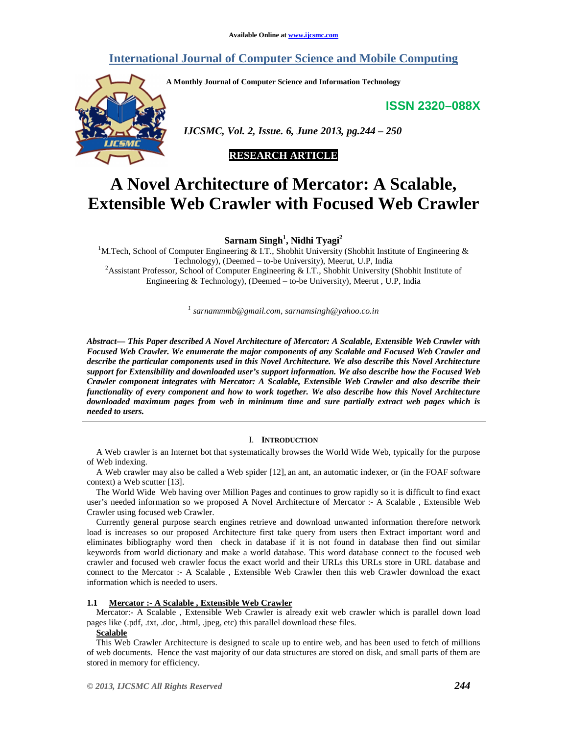# **International Journal of Computer Science and Mobile Computing**

**A Monthly Journal of Computer Science and Information Technology** 

**ISSN 2320–088X**



 *IJCSMC, Vol. 2, Issue. 6, June 2013, pg.244 – 250* 

# **RESEARCH ARTICLE**

# **A Novel Architecture of Mercator: A Scalable, Extensible Web Crawler with Focused Web Crawler**

**Sarnam Singh<sup>1</sup> , Nidhi Tyagi<sup>2</sup>**

<sup>1</sup>M.Tech, School of Computer Engineering & I.T., Shobhit University (Shobhit Institute of Engineering & Technology), (Deemed – to-be University), Meerut, U.P, India <sup>2</sup>Assistant Professor, School of Computer Engineering & I.T., Shobhit University (Shobhit Institute of Engineering & Technology), (Deemed – to-be University), Meerut , U.P, India

*1 sarnammmb@gmail.com, sarnamsingh@yahoo.co.in* 

*Abstract— This Paper described A Novel Architecture of Mercator: A Scalable, Extensible Web Crawler with Focused Web Crawler. We enumerate the major components of any Scalable and Focused Web Crawler and describe the particular components used in this Novel Architecture. We also describe this Novel Architecture support for Extensibility and downloaded user's support information. We also describe how the Focused Web Crawler component integrates with Mercator: A Scalable, Extensible Web Crawler and also describe their functionality of every component and how to work together. We also describe how this Novel Architecture downloaded maximum pages from web in minimum time and sure partially extract web pages which is needed to users.* 

#### I. **INTRODUCTION**

A Web crawler is an Internet bot that systematically browses the World Wide Web, typically for the purpose of Web indexing.

A Web crawler may also be called a Web spider [12], an ant, an automatic indexer, or (in the FOAF software context) a Web scutter [13].

The World Wide Web having over Million Pages and continues to grow rapidly so it is difficult to find exact user's needed information so we proposed A Novel Architecture of Mercator :- A Scalable , Extensible Web Crawler using focused web Crawler.

Currently general purpose search engines retrieve and download unwanted information therefore network load is increases so our proposed Architecture first take query from users then Extract important word and eliminates bibliography word then check in database if it is not found in database then find out similar keywords from world dictionary and make a world database. This word database connect to the focused web crawler and focused web crawler focus the exact world and their URLs this URLs store in URL database and connect to the Mercator :- A Scalable , Extensible Web Crawler then this web Crawler download the exact information which is needed to users.

#### **1.1 Mercator :- A Scalable , Extensible Web Crawler**

Mercator:- A Scalable , Extensible Web Crawler is already exit web crawler which is parallel down load pages like (.pdf, .txt, .doc, .html, .jpeg, etc) this parallel download these files.

#### **Scalable**

This Web Crawler Architecture is designed to scale up to entire web, and has been used to fetch of millions of web documents. Hence the vast majority of our data structures are stored on disk, and small parts of them are stored in memory for efficiency.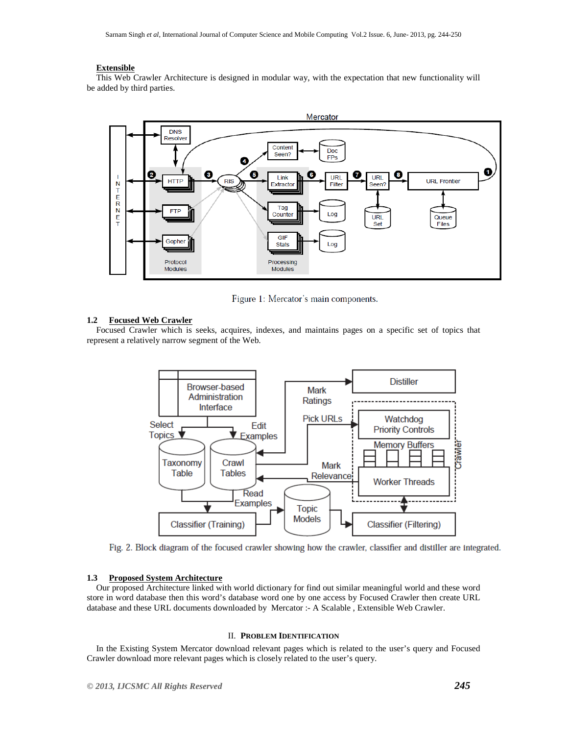#### **Extensible**

This Web Crawler Architecture is designed in modular way, with the expectation that new functionality will be added by third parties.



Figure 1: Mercator's main components.

#### **1.2 Focused Web Crawler**

Focused Crawler which is seeks, acquires, indexes, and maintains pages on a specific set of topics that represent a relatively narrow segment of the Web.



Fig. 2. Block diagram of the focused crawler showing how the crawler, classifier and distiller are integrated.

#### **1.3 Proposed System Architecture**

Our proposed Architecture linked with world dictionary for find out similar meaningful world and these word store in word database then this word's database word one by one access by Focused Crawler then create URL database and these URL documents downloaded by Mercator :- A Scalable , Extensible Web Crawler.

#### II. **PROBLEM IDENTIFICATION**

In the Existing System Mercator download relevant pages which is related to the user's query and Focused Crawler download more relevant pages which is closely related to the user's query.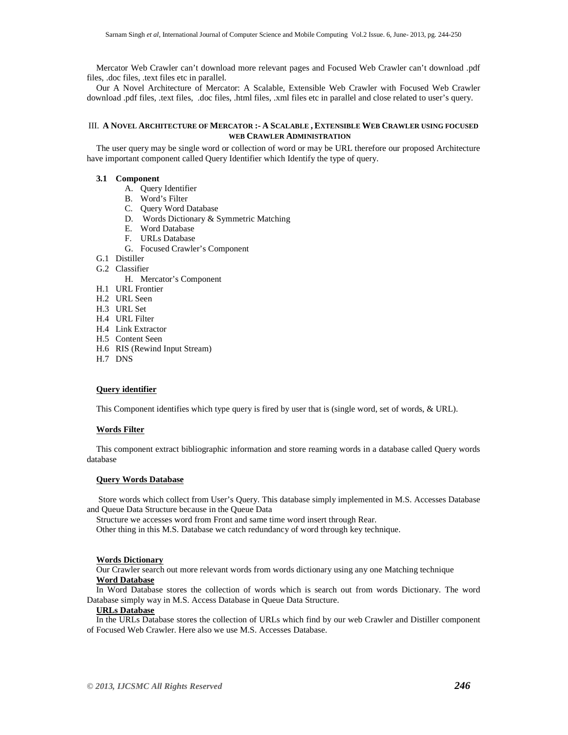Mercator Web Crawler can't download more relevant pages and Focused Web Crawler can't download .pdf files, .doc files, .text files etc in parallel.

Our A Novel Architecture of Mercator: A Scalable, Extensible Web Crawler with Focused Web Crawler download .pdf files, .text files, .doc files, .html files, .xml files etc in parallel and close related to user's query.

#### III. **A NOVEL ARCHITECTURE OF MERCATOR :- A SCALABLE , EXTENSIBLE WEB CRAWLER USING FOCUSED WEB CRAWLER ADMINISTRATION**

The user query may be single word or collection of word or may be URL therefore our proposed Architecture have important component called Query Identifier which Identify the type of query.

#### **3.1 Component**

- A. Query Identifier
- B. Word's Filter
- C. Query Word Database
- D. Words Dictionary & Symmetric Matching
- E. Word Database
- F. URLs Database
- G. Focused Crawler's Component
- G.1 Distiller
- G.2 Classifier
	- H. Mercator's Component
- H.1 URL Frontier
- H.2 URL Seen
- H.3 URL Set
- H.4 URL Filter
- H.4 Link Extractor
- H.5 Content Seen
- H.6 RIS (Rewind Input Stream)
- H.7 DNS

#### **Query identifier**

This Component identifies which type query is fired by user that is (single word, set of words, & URL).

#### **Words Filter**

This component extract bibliographic information and store reaming words in a database called Query words database

#### **Query Words Database**

 Store words which collect from User's Query. This database simply implemented in M.S. Accesses Database and Queue Data Structure because in the Queue Data

Structure we accesses word from Front and same time word insert through Rear. Other thing in this M.S. Database we catch redundancy of word through key technique.

#### **Words Dictionary**

Our Crawler search out more relevant words from words dictionary using any one Matching technique **Word Database** 

In Word Database stores the collection of words which is search out from words Dictionary. The word Database simply way in M.S. Access Database in Queue Data Structure.

#### **URLs Database**

In the URLs Database stores the collection of URLs which find by our web Crawler and Distiller component of Focused Web Crawler. Here also we use M.S. Accesses Database.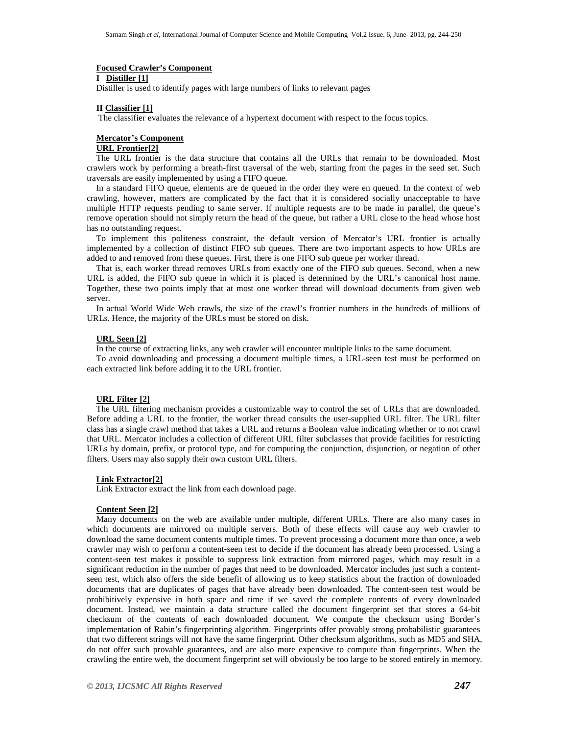#### **Focused Crawler's Component**

#### **I Distiller [1]**

Distiller is used to identify pages with large numbers of links to relevant pages

#### **II Classifier [1]**

The classifier evaluates the relevance of a hypertext document with respect to the focus topics.

#### **Mercator's Component**

### **URL Frontier[2]**

The URL frontier is the data structure that contains all the URLs that remain to be downloaded. Most crawlers work by performing a breath-first traversal of the web, starting from the pages in the seed set. Such traversals are easily implemented by using a FIFO queue.

In a standard FIFO queue, elements are de queued in the order they were en queued. In the context of web crawling, however, matters are complicated by the fact that it is considered socially unacceptable to have multiple HTTP requests pending to same server. If multiple requests are to be made in parallel, the queue's remove operation should not simply return the head of the queue, but rather a URL close to the head whose host has no outstanding request.

To implement this politeness constraint, the default version of Mercator's URL frontier is actually implemented by a collection of distinct FIFO sub queues. There are two important aspects to how URLs are added to and removed from these queues. First, there is one FIFO sub queue per worker thread.

That is, each worker thread removes URLs from exactly one of the FIFO sub queues. Second, when a new URL is added, the FIFO sub queue in which it is placed is determined by the URL's canonical host name. Together, these two points imply that at most one worker thread will download documents from given web server.

In actual World Wide Web crawls, the size of the crawl's frontier numbers in the hundreds of millions of URLs. Hence, the majority of the URLs must be stored on disk.

#### **URL Seen [2]**

In the course of extracting links, any web crawler will encounter multiple links to the same document.

To avoid downloading and processing a document multiple times, a URL-seen test must be performed on each extracted link before adding it to the URL frontier.

#### **URL Filter [2]**

The URL filtering mechanism provides a customizable way to control the set of URLs that are downloaded. Before adding a URL to the frontier, the worker thread consults the user-supplied URL filter. The URL filter class has a single crawl method that takes a URL and returns a Boolean value indicating whether or to not crawl that URL. Mercator includes a collection of different URL filter subclasses that provide facilities for restricting URLs by domain, prefix, or protocol type, and for computing the conjunction, disjunction, or negation of other filters. Users may also supply their own custom URL filters.

#### **Link Extractor[2]**

Link Extractor extract the link from each download page.

#### **Content Seen [2]**

Many documents on the web are available under multiple, different URLs. There are also many cases in which documents are mirrored on multiple servers. Both of these effects will cause any web crawler to download the same document contents multiple times. To prevent processing a document more than once, a web crawler may wish to perform a content-seen test to decide if the document has already been processed. Using a content-seen test makes it possible to suppress link extraction from mirrored pages, which may result in a significant reduction in the number of pages that need to be downloaded. Mercator includes just such a contentseen test, which also offers the side benefit of allowing us to keep statistics about the fraction of downloaded documents that are duplicates of pages that have already been downloaded. The content-seen test would be prohibitively expensive in both space and time if we saved the complete contents of every downloaded document. Instead, we maintain a data structure called the document fingerprint set that stores a 64-bit checksum of the contents of each downloaded document. We compute the checksum using Border's implementation of Rabin's fingerprinting algorithm. Fingerprints offer provably strong probabilistic guarantees that two different strings will not have the same fingerprint. Other checksum algorithms, such as MD5 and SHA, do not offer such provable guarantees, and are also more expensive to compute than fingerprints. When the crawling the entire web, the document fingerprint set will obviously be too large to be stored entirely in memory.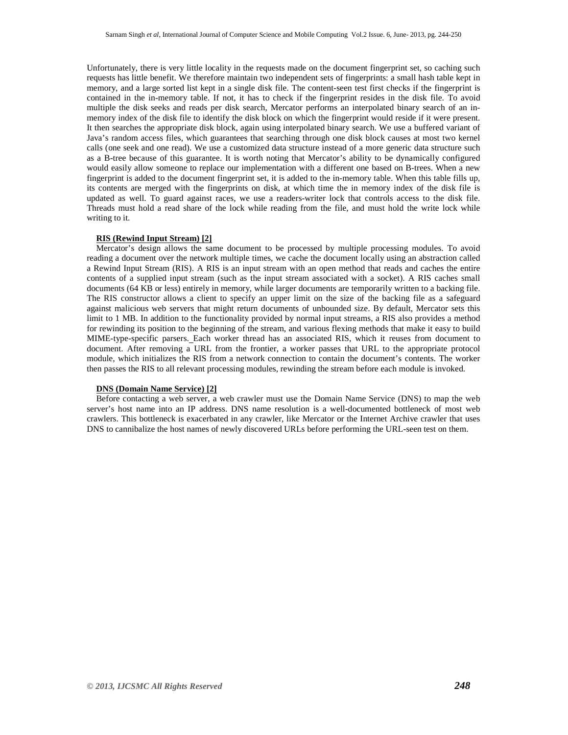Unfortunately, there is very little locality in the requests made on the document fingerprint set, so caching such requests has little benefit. We therefore maintain two independent sets of fingerprints: a small hash table kept in memory, and a large sorted list kept in a single disk file. The content-seen test first checks if the fingerprint is contained in the in-memory table. If not, it has to check if the fingerprint resides in the disk file. To avoid multiple the disk seeks and reads per disk search, Mercator performs an interpolated binary search of an inmemory index of the disk file to identify the disk block on which the fingerprint would reside if it were present. It then searches the appropriate disk block, again using interpolated binary search. We use a buffered variant of Java's random access files, which guarantees that searching through one disk block causes at most two kernel calls (one seek and one read). We use a customized data structure instead of a more generic data structure such as a B-tree because of this guarantee. It is worth noting that Mercator's ability to be dynamically configured would easily allow someone to replace our implementation with a different one based on B-trees. When a new fingerprint is added to the document fingerprint set, it is added to the in-memory table. When this table fills up, its contents are merged with the fingerprints on disk, at which time the in memory index of the disk file is updated as well. To guard against races, we use a readers-writer lock that controls access to the disk file. Threads must hold a read share of the lock while reading from the file, and must hold the write lock while writing to it.

#### **RIS (Rewind Input Stream) [2]**

Mercator's design allows the same document to be processed by multiple processing modules. To avoid reading a document over the network multiple times, we cache the document locally using an abstraction called a Rewind Input Stream (RIS). A RIS is an input stream with an open method that reads and caches the entire contents of a supplied input stream (such as the input stream associated with a socket). A RIS caches small documents (64 KB or less) entirely in memory, while larger documents are temporarily written to a backing file. The RIS constructor allows a client to specify an upper limit on the size of the backing file as a safeguard against malicious web servers that might return documents of unbounded size. By default, Mercator sets this limit to 1 MB. In addition to the functionality provided by normal input streams, a RIS also provides a method for rewinding its position to the beginning of the stream, and various flexing methods that make it easy to build MIME-type-specific parsers. Each worker thread has an associated RIS, which it reuses from document to document. After removing a URL from the frontier, a worker passes that URL to the appropriate protocol module, which initializes the RIS from a network connection to contain the document's contents. The worker then passes the RIS to all relevant processing modules, rewinding the stream before each module is invoked.

#### **DNS (Domain Name Service) [2]**

Before contacting a web server, a web crawler must use the Domain Name Service (DNS) to map the web server's host name into an IP address. DNS name resolution is a well-documented bottleneck of most web crawlers. This bottleneck is exacerbated in any crawler, like Mercator or the Internet Archive crawler that uses DNS to cannibalize the host names of newly discovered URLs before performing the URL-seen test on them.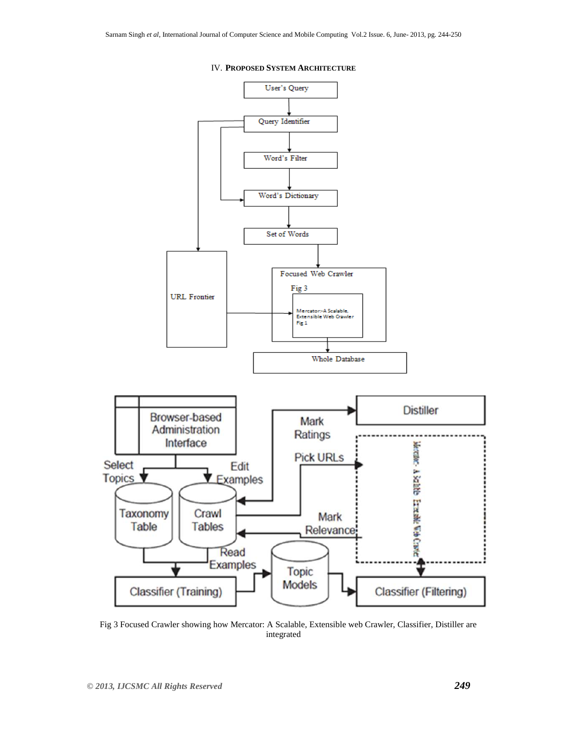

#### IV. **PROPOSED SYSTEM ARCHITECTURE**

Fig 3 Focused Crawler showing how Mercator: A Scalable, Extensible web Crawler, Classifier, Distiller are integrated